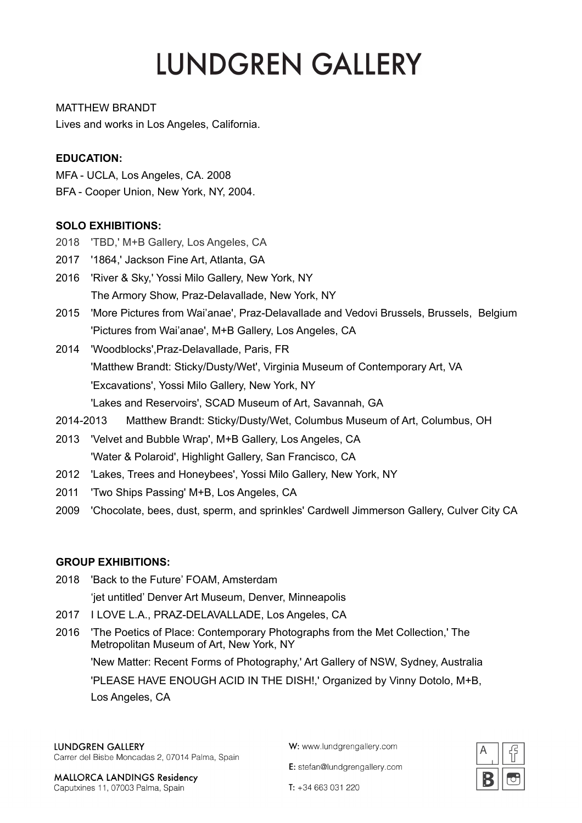MATTHEW BRANDT Lives and works in Los Angeles, California.

## **EDUCATION:**

MFA - UCLA, Los Angeles, CA. 2008

BFA - Cooper Union, New York, NY, 2004.

# **SOLO EXHIBITIONS:**

- 2018 'TBD,' M+B Gallery, Los Angeles, CA
- 2017 '1864,' Jackson Fine Art, Atlanta, GA
- 2016 'River & Sky,' Yossi Milo Gallery, New York, NY The Armory Show, Praz-Delavallade, New York, NY
- 2015 'More Pictures from Wai'anae', Praz-Delavallade and Vedovi Brussels, Brussels, Belgium 'Pictures from Wai'anae', M+B Gallery, Los Angeles, CA
- 2014 'Woodblocks',Praz-Delavallade, Paris, FR 'Matthew Brandt: Sticky/Dusty/Wet', Virginia Museum of Contemporary Art, VA 'Excavations', Yossi Milo Gallery, New York, NY 'Lakes and Reservoirs', SCAD Museum of Art, Savannah, GA
- 2014-2013 Matthew Brandt: Sticky/Dusty/Wet, Columbus Museum of Art, Columbus, OH
- 2013 'Velvet and Bubble Wrap', M+B Gallery, Los Angeles, CA 'Water & Polaroid', Highlight Gallery, San Francisco, CA
- 2012 'Lakes, Trees and Honeybees', Yossi Milo Gallery, New York, NY
- 2011 'Two Ships Passing' M+B, Los Angeles, CA
- 2009 'Chocolate, bees, dust, sperm, and sprinkles' Cardwell Jimmerson Gallery, Culver City CA

# **GROUP EXHIBITIONS:**

2018 'Back to the Future' FOAM, Amsterdam

'jet untitled' Denver Art Museum, Denver, Minneapolis

- 2017 I LOVE L.A., PRAZ-DELAVALLADE, Los Angeles, CA
- 2016 'The Poetics of Place: Contemporary Photographs from the Met Collection,' The Metropolitan Museum of Art, New York, NY 'New Matter: Recent Forms of Photography,' Art Gallery of NSW, Sydney, Australia 'PLEASE HAVE ENOUGH ACID IN THE DISH!,' Organized by Vinny Dotolo, M+B,

Los Angeles, CA

## **LUNDGREN GALLERY**

Carrer del Bisbe Moncadas 2, 07014 Palma, Spain

**MALLORCA LANDINGS Residency** Caputxines 11, 07003 Palma, Spain

W: www.lundgrengallery.com

E: stefan@lundgrengallery.com



 $T: +34663031220$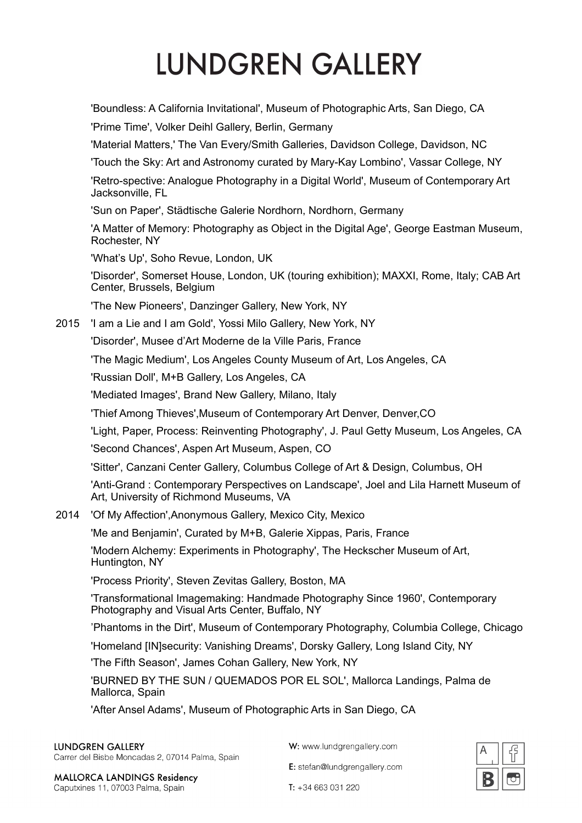'Boundless: A California Invitational', Museum of Photographic Arts, San Diego, CA

'Prime Time', Volker Deihl Gallery, Berlin, Germany

'Material Matters,' The Van Every/Smith Galleries, Davidson College, Davidson, NC

'Touch the Sky: Art and Astronomy curated by Mary-Kay Lombino', Vassar College, NY

'Retro-spective: Analogue Photography in a Digital World', Museum of Contemporary Art Jacksonville, FL

'Sun on Paper', Städtische Galerie Nordhorn, Nordhorn, Germany

'A Matter of Memory: Photography as Object in the Digital Age', George Eastman Museum, Rochester, NY

'What's Up', Soho Revue, London, UK

'Disorder', Somerset House, London, UK (touring exhibition); MAXXI, Rome, Italy; CAB Art Center, Brussels, Belgium

'The New Pioneers', Danzinger Gallery, New York, NY

2015 'I am a Lie and I am Gold', Yossi Milo Gallery, New York, NY

'Disorder', Musee d'Art Moderne de la Ville Paris, France

'The Magic Medium', Los Angeles County Museum of Art, Los Angeles, CA

'Russian Doll', M+B Gallery, Los Angeles, CA

'Mediated Images', Brand New Gallery, Milano, Italy

'Thief Among Thieves',Museum of Contemporary Art Denver, Denver,CO

'Light, Paper, Process: Reinventing Photography', J. Paul Getty Museum, Los Angeles, CA

'Second Chances', Aspen Art Museum, Aspen, CO

'Sitter', Canzani Center Gallery, Columbus College of Art & Design, Columbus, OH

'Anti-Grand : Contemporary Perspectives on Landscape', Joel and Lila Harnett Museum of Art, University of Richmond Museums, VA

2014 'Of My Affection',Anonymous Gallery, Mexico City, Mexico

'Me and Benjamin', Curated by M+B, Galerie Xippas, Paris, France

'Modern Alchemy: Experiments in Photography', The Heckscher Museum of Art, Huntington, NY

'Process Priority', Steven Zevitas Gallery, Boston, MA

'Transformational Imagemaking: Handmade Photography Since 1960', Contemporary Photography and Visual Arts Center, Buffalo, NY

'Phantoms in the Dirt', Museum of Contemporary Photography, Columbia College, Chicago

'Homeland [IN]security: Vanishing Dreams', Dorsky Gallery, Long Island City, NY

'The Fifth Season', James Cohan Gallery, New York, NY

'BURNED BY THE SUN / QUEMADOS POR EL SOL', Mallorca Landings, Palma de Mallorca, Spain

'After Ansel Adams', Museum of Photographic Arts in San Diego, CA

### **LUNDGREN GALLERY**

Carrer del Bisbe Moncadas 2, 07014 Palma, Spain

W: www.lundgrengallery.com

E: stefan@lundgrengallery.com



**MALLORCA LANDINGS Residency** Caputxines 11, 07003 Palma, Spain

 $T: +34663031220$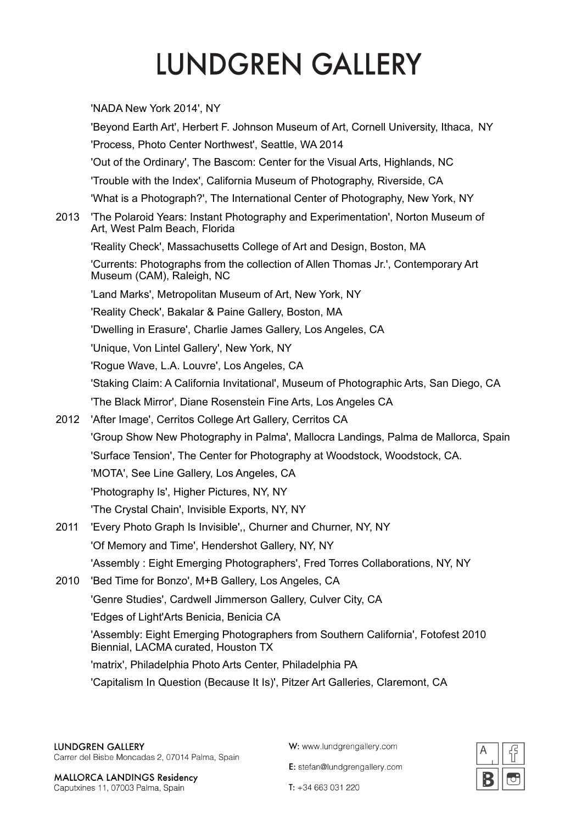'NADA New York 2014'. NY 'Beyond Earth Art', Herbert F. Johnson Museum of Art, Cornell University, Ithaca, NY 'Process, Photo Center Northwest', Seattle, WA 2014 'Out of the Ordinary', The Bascom: Center for the Visual Arts, Highlands, NC 'Trouble with the Index', California Museum of Photography, Riverside, CA 'What is a Photograph?', The International Center of Photography, New York, NY 2013 'The Polaroid Years: Instant Photography and Experimentation'. Norton Museum of Art, West Palm Beach, Florida 'Reality Check', Massachusetts College of Art and Design, Boston, MA 'Currents: Photographs from the collection of Allen Thomas Jr.', Contemporary Art Museum (CAM), Raleigh, NC 'Land Marks', Metropolitan Museum of Art, New York, NY 'Reality Check', Bakalar & Paine Gallery, Boston, MA 'Dwelling in Erasure', Charlie James Gallery, Los Angeles, CA 'Unique, Von Lintel Gallery', New York, NY 'Rogue Wave, L.A. Louvre', Los Angeles, CA 'Staking Claim: A California Invitational', Museum of Photographic Arts, San Diego, CA 'The Black Mirror'. Diane Rosenstein Fine Arts. Los Angeles CA 2012 'After Image', Cerritos College Art Gallery, Cerritos CA 'Group Show New Photography in Palma', Mallocra Landings, Palma de Mallorca, Spain 'Surface Tension', The Center for Photography at Woodstock, Woodstock, CA. 'MOTA', See Line Gallery, Los Angeles, CA 'Photography Is', Higher Pictures, NY, NY 'The Crystal Chain', Invisible Exports, NY, NY 'Every Photo Graph Is Invisible',, Churner and Churner, NY, NY 2011 'Of Memory and Time', Hendershot Gallery, NY, NY 'Assembly: Eight Emerging Photographers', Fred Torres Collaborations, NY, NY 2010 'Bed Time for Bonzo', M+B Gallery, Los Angeles, CA 'Genre Studies', Cardwell Jimmerson Gallery, Culver City, CA 'Edges of Light'Arts Benicia, Benicia CA 'Assembly: Eight Emerging Photographers from Southern California', Fotofest 2010 Biennial, LACMA curated, Houston TX 'matrix'. Philadelphia Photo Arts Center. Philadelphia PA 'Capitalism In Question (Because It Is)', Pitzer Art Galleries, Claremont, CA

W: www.lundgrengallery.com

E: stefan@lundgrengallery.com